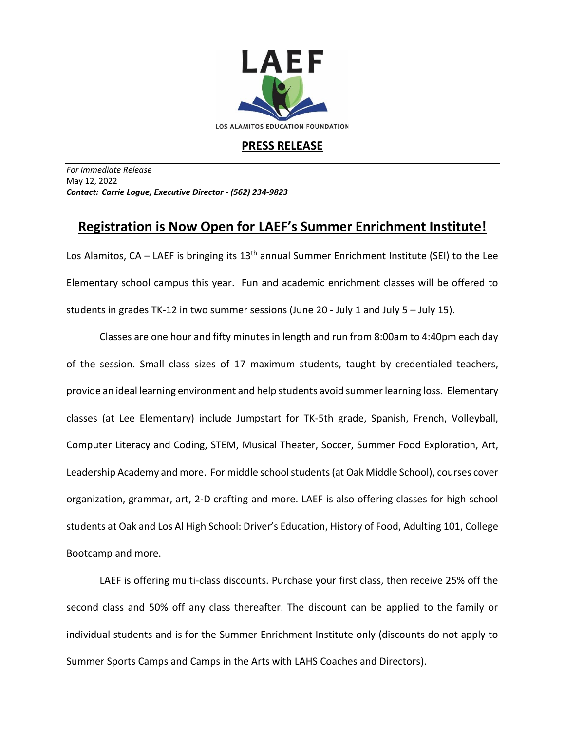

## **PRESS RELEASE**

*For Immediate Release*  May 12, 2022 *Contact: Carrie Logue, Executive Director - (562) 234-9823*

## **Registration is Now Open for LAEF's Summer Enrichment Institute!**

Los Alamitos, CA – LAEF is bringing its 13<sup>th</sup> annual Summer Enrichment Institute (SEI) to the Lee Elementary school campus this year. Fun and academic enrichment classes will be offered to students in grades TK-12 in two summer sessions (June 20 - July 1 and July 5 – July 15).

Classes are one hour and fifty minutes in length and run from 8:00am to 4:40pm each day of the session. Small class sizes of 17 maximum students, taught by credentialed teachers, provide an ideal learning environment and help students avoid summer learning loss. Elementary classes (at Lee Elementary) include Jumpstart for TK-5th grade, Spanish, French, Volleyball, Computer Literacy and Coding, STEM, Musical Theater, Soccer, Summer Food Exploration, Art, Leadership Academy and more. For middle school students (at Oak Middle School), courses cover organization, grammar, art, 2-D crafting and more. LAEF is also offering classes for high school students at Oak and Los Al High School: Driver's Education, History of Food, Adulting 101, College Bootcamp and more.

LAEF is offering multi-class discounts. Purchase your first class, then receive 25% off the second class and 50% off any class thereafter. The discount can be applied to the family or individual students and is for the Summer Enrichment Institute only (discounts do not apply to Summer Sports Camps and Camps in the Arts with LAHS Coaches and Directors).